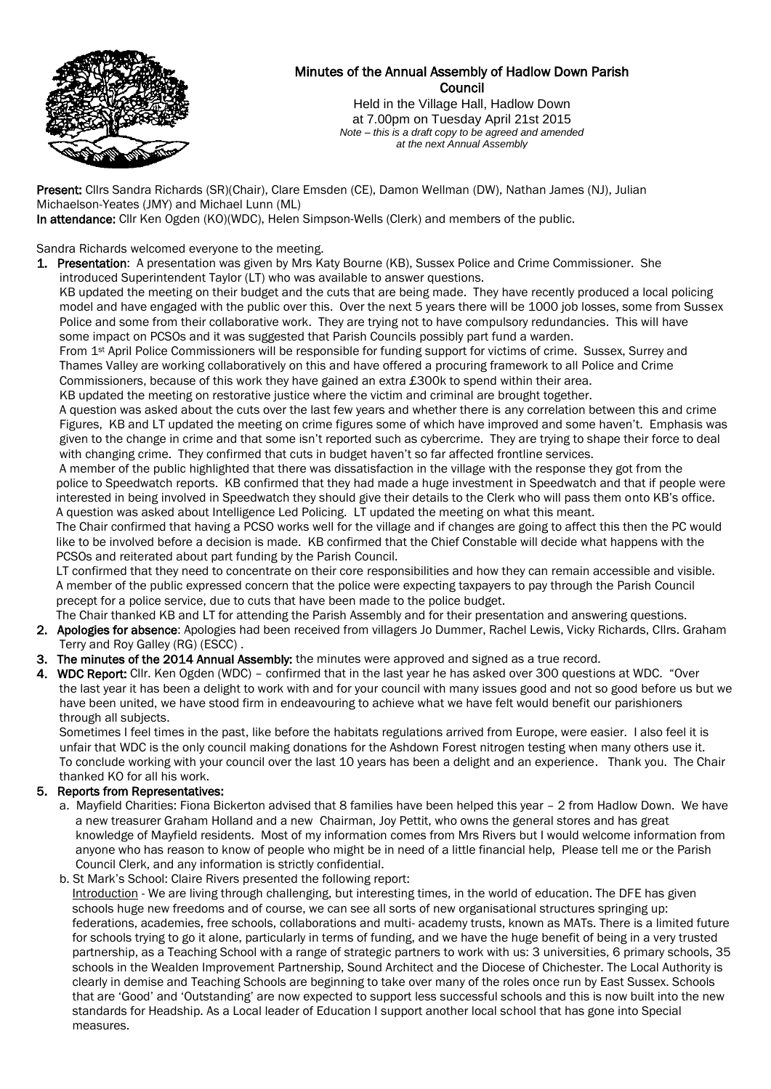

# Minutes of the Annual Assembly of Hadlow Down Parish Council

Held in the Village Hall, Hadlow Down at 7.00pm on Tuesday April 21st 2015 *Note – this is a draft copy to be agreed and amended at the next Annual Assembly*

Present: Cllrs Sandra Richards (SR)(Chair), Clare Emsden (CE), Damon Wellman (DW), Nathan James (NJ), Julian Michaelson-Yeates (JMY) and Michael Lunn (ML)

In attendance: Cllr Ken Ogden (KO)(WDC), Helen Simpson-Wells (Clerk) and members of the public.

Sandra Richards welcomed everyone to the meeting.

1. Presentation: A presentation was given by Mrs Katy Bourne (KB), Sussex Police and Crime Commissioner. She introduced Superintendent Taylor (LT) who was available to answer questions.

 KB updated the meeting on their budget and the cuts that are being made. They have recently produced a local policing model and have engaged with the public over this. Over the next 5 years there will be 1000 job losses, some from Sussex Police and some from their collaborative work. They are trying not to have compulsory redundancies. This will have some impact on PCSOs and it was suggested that Parish Councils possibly part fund a warden.

 From 1st April Police Commissioners will be responsible for funding support for victims of crime. Sussex, Surrey and Thames Valley are working collaboratively on this and have offered a procuring framework to all Police and Crime Commissioners, because of this work they have gained an extra £300k to spend within their area.

KB updated the meeting on restorative justice where the victim and criminal are brought together.

 A question was asked about the cuts over the last few years and whether there is any correlation between this and crime Figures, KB and LT updated the meeting on crime figures some of which have improved and some haven't. Emphasis was given to the change in crime and that some isn't reported such as cybercrime. They are trying to shape their force to deal with changing crime. They confirmed that cuts in budget haven't so far affected frontline services.

 A member of the public highlighted that there was dissatisfaction in the village with the response they got from the police to Speedwatch reports. KB confirmed that they had made a huge investment in Speedwatch and that if people were interested in being involved in Speedwatch they should give their details to the Clerk who will pass them onto KB's office. A question was asked about Intelligence Led Policing. LT updated the meeting on what this meant.

 The Chair confirmed that having a PCSO works well for the village and if changes are going to affect this then the PC would like to be involved before a decision is made. KB confirmed that the Chief Constable will decide what happens with the PCSOs and reiterated about part funding by the Parish Council.

 LT confirmed that they need to concentrate on their core responsibilities and how they can remain accessible and visible. A member of the public expressed concern that the police were expecting taxpayers to pay through the Parish Council precept for a police service, due to cuts that have been made to the police budget.

- The Chair thanked KB and LT for attending the Parish Assembly and for their presentation and answering questions. 2. Apologies for absence: Apologies had been received from villagers Jo Dummer, Rachel Lewis, Vicky Richards, Cllrs. Graham Terry and Roy Galley (RG) (ESCC) .
- 3. The minutes of the 2014 Annual Assembly: the minutes were approved and signed as a true record.
- 4. WDC Report: Cllr. Ken Ogden (WDC) confirmed that in the last year he has asked over 300 questions at WDC. "Over the last year it has been a delight to work with and for your council with many issues good and not so good before us but we have been united, we have stood firm in endeavouring to achieve what we have felt would benefit our parishioners through all subjects.

 Sometimes I feel times in the past, like before the habitats regulations arrived from Europe, were easier. I also feel it is unfair that WDC is the only council making donations for the Ashdown Forest nitrogen testing when many others use it. To conclude working with your council over the last 10 years has been a delight and an experience. Thank you. The Chair thanked KO for all his work.

## 5. Reports from Representatives:

 a. Mayfield Charities: Fiona Bickerton advised that 8 families have been helped this year – 2 from Hadlow Down. We have a new treasurer Graham Holland and a new Chairman, Joy Pettit, who owns the general stores and has great knowledge of Mayfield residents. Most of my information comes from Mrs Rivers but I would welcome information from anyone who has reason to know of people who might be in need of a little financial help, Please tell me or the Parish Council Clerk, and any information is strictly confidential.

### b. St Mark's School: Claire Rivers presented the following report:

 Introduction - We are living through challenging, but interesting times, in the world of education. The DFE has given schools huge new freedoms and of course, we can see all sorts of new organisational structures springing up: federations, academies, free schools, collaborations and multi- academy trusts, known as MATs. There is a limited future for schools trying to go it alone, particularly in terms of funding, and we have the huge benefit of being in a very trusted partnership, as a Teaching School with a range of strategic partners to work with us: 3 universities, 6 primary schools, 35 schools in the Wealden Improvement Partnership, Sound Architect and the Diocese of Chichester. The Local Authority is clearly in demise and Teaching Schools are beginning to take over many of the roles once run by East Sussex. Schools that are 'Good' and 'Outstanding' are now expected to support less successful schools and this is now built into the new standards for Headship. As a Local leader of Education I support another local school that has gone into Special measures.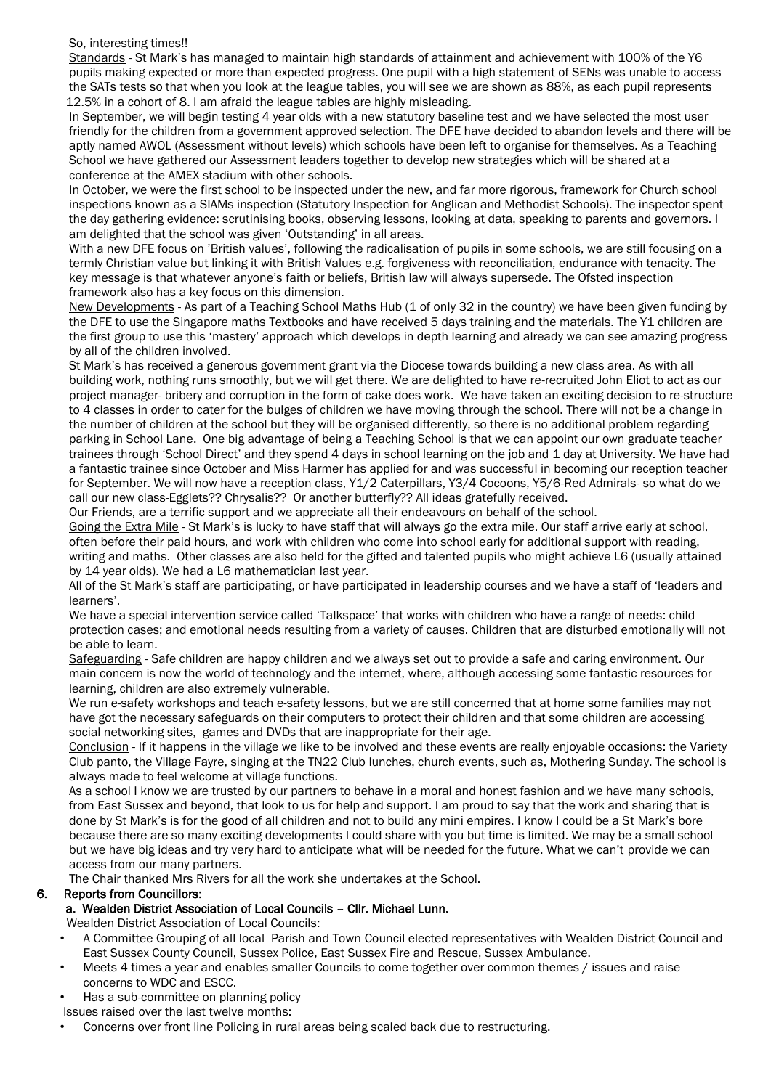#### So, interesting times!!

 Standards - St Mark's has managed to maintain high standards of attainment and achievement with 100% of the Y6 pupils making expected or more than expected progress. One pupil with a high statement of SENs was unable to access the SATs tests so that when you look at the league tables, you will see we are shown as 88%, as each pupil represents 12.5% in a cohort of 8. I am afraid the league tables are highly misleading.

 In September, we will begin testing 4 year olds with a new statutory baseline test and we have selected the most user friendly for the children from a government approved selection. The DFE have decided to abandon levels and there will be aptly named AWOL (Assessment without levels) which schools have been left to organise for themselves. As a Teaching School we have gathered our Assessment leaders together to develop new strategies which will be shared at a conference at the AMEX stadium with other schools.

 In October, we were the first school to be inspected under the new, and far more rigorous, framework for Church school inspections known as a SIAMs inspection (Statutory Inspection for Anglican and Methodist Schools). The inspector spent the day gathering evidence: scrutinising books, observing lessons, looking at data, speaking to parents and governors. I am delighted that the school was given 'Outstanding' in all areas.

 With a new DFE focus on 'British values', following the radicalisation of pupils in some schools, we are still focusing on a termly Christian value but linking it with British Values e.g. forgiveness with reconciliation, endurance with tenacity. The key message is that whatever anyone's faith or beliefs, British law will always supersede. The Ofsted inspection framework also has a key focus on this dimension.

 New Developments - As part of a Teaching School Maths Hub (1 of only 32 in the country) we have been given funding by the DFE to use the Singapore maths Textbooks and have received 5 days training and the materials. The Y1 children are the first group to use this 'mastery' approach which develops in depth learning and already we can see amazing progress by all of the children involved.

 St Mark's has received a generous government grant via the Diocese towards building a new class area. As with all building work, nothing runs smoothly, but we will get there. We are delighted to have re-recruited John Eliot to act as our project manager- bribery and corruption in the form of cake does work. We have taken an exciting decision to re-structure to 4 classes in order to cater for the bulges of children we have moving through the school. There will not be a change in the number of children at the school but they will be organised differently, so there is no additional problem regarding parking in School Lane. One big advantage of being a Teaching School is that we can appoint our own graduate teacher trainees through 'School Direct' and they spend 4 days in school learning on the job and 1 day at University. We have had a fantastic trainee since October and Miss Harmer has applied for and was successful in becoming our reception teacher for September. We will now have a reception class, Y1/2 Caterpillars, Y3/4 Cocoons, Y5/6-Red Admirals- so what do we call our new class-Egglets?? Chrysalis?? Or another butterfly?? All ideas gratefully received.

Our Friends, are a terrific support and we appreciate all their endeavours on behalf of the school.

Going the Extra Mile - St Mark's is lucky to have staff that will always go the extra mile. Our staff arrive early at school, often before their paid hours, and work with children who come into school early for additional support with reading, writing and maths. Other classes are also held for the gifted and talented pupils who might achieve L6 (usually attained by 14 year olds). We had a L6 mathematician last year.

 All of the St Mark's staff are participating, or have participated in leadership courses and we have a staff of 'leaders and learners'.

 We have a special intervention service called 'Talkspace' that works with children who have a range of needs: child protection cases; and emotional needs resulting from a variety of causes. Children that are disturbed emotionally will not be able to learn.

 Safeguarding - Safe children are happy children and we always set out to provide a safe and caring environment. Our main concern is now the world of technology and the internet, where, although accessing some fantastic resources for learning, children are also extremely vulnerable.

 We run e-safety workshops and teach e-safety lessons, but we are still concerned that at home some families may not have got the necessary safeguards on their computers to protect their children and that some children are accessing social networking sites, games and DVDs that are inappropriate for their age.

 Conclusion - If it happens in the village we like to be involved and these events are really enjoyable occasions: the Variety Club panto, the Village Fayre, singing at the TN22 Club lunches, church events, such as, Mothering Sunday. The school is always made to feel welcome at village functions.

 As a school I know we are trusted by our partners to behave in a moral and honest fashion and we have many schools, from East Sussex and beyond, that look to us for help and support. I am proud to say that the work and sharing that is done by St Mark's is for the good of all children and not to build any mini empires. I know I could be a St Mark's bore because there are so many exciting developments I could share with you but time is limited. We may be a small school but we have big ideas and try very hard to anticipate what will be needed for the future. What we can't provide we can access from our many partners.

The Chair thanked Mrs Rivers for all the work she undertakes at the School.

### 6. Reports from Councillors:

### a. Wealden District Association of Local Councils – Cllr. Michael Lunn.

Wealden District Association of Local Councils:

- A Committee Grouping of all local Parish and Town Council elected representatives with Wealden District Council and East Sussex County Council, Sussex Police, East Sussex Fire and Rescue, Sussex Ambulance.
- Meets 4 times a year and enables smaller Councils to come together over common themes / issues and raise concerns to WDC and ESCC.
- Has a sub-committee on planning policy

Issues raised over the last twelve months:

• Concerns over front line Policing in rural areas being scaled back due to restructuring.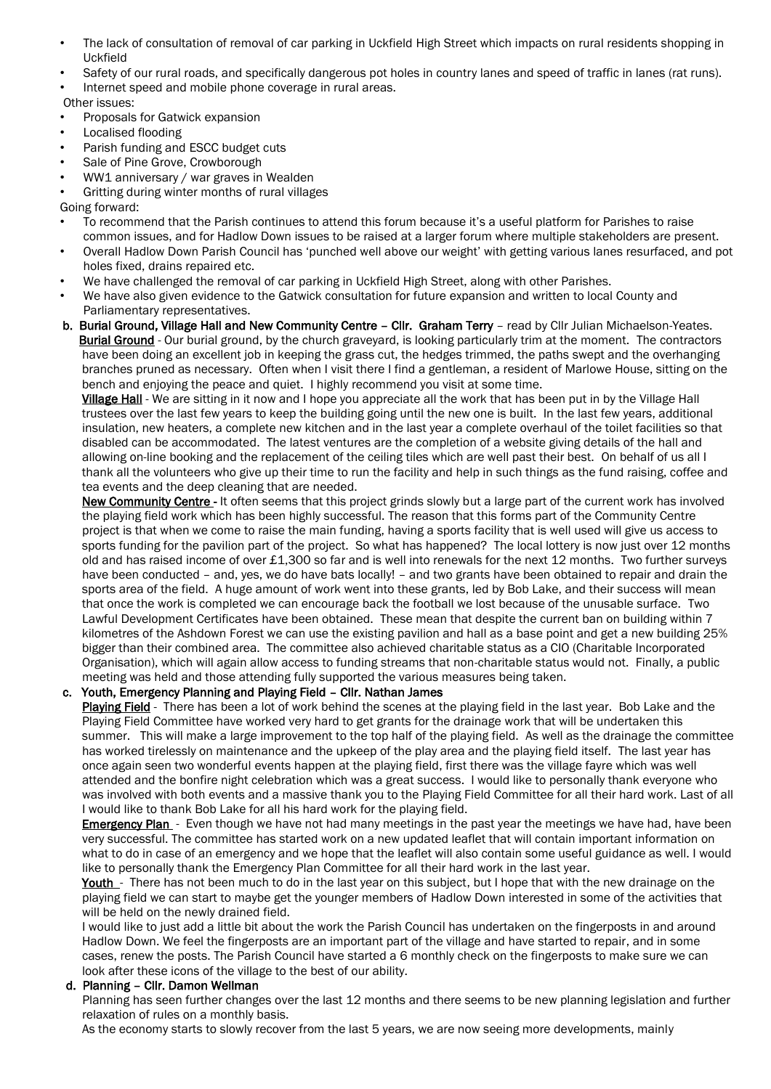- The lack of consultation of removal of car parking in Uckfield High Street which impacts on rural residents shopping in Uckfield
- Safety of our rural roads, and specifically dangerous pot holes in country lanes and speed of traffic in lanes (rat runs).
- Internet speed and mobile phone coverage in rural areas.

Other issues:

- Proposals for Gatwick expansion
- Localised flooding
- Parish funding and ESCC budget cuts
- Sale of Pine Grove, Crowborough
- WW1 anniversary / war graves in Wealden
- Gritting during winter months of rural villages

Going forward:

- To recommend that the Parish continues to attend this forum because it's a useful platform for Parishes to raise common issues, and for Hadlow Down issues to be raised at a larger forum where multiple stakeholders are present.
- Overall Hadlow Down Parish Council has 'punched well above our weight' with getting various lanes resurfaced, and pot holes fixed, drains repaired etc.
- We have challenged the removal of car parking in Uckfield High Street, along with other Parishes.
- We have also given evidence to the Gatwick consultation for future expansion and written to local County and Parliamentary representatives.
- b. Burial Ground, Village Hall and New Community Centre Cllr. Graham Terry read by Cllr Julian Michaelson-Yeates. Burial Ground - Our burial ground, by the church graveyard, is looking particularly trim at the moment. The contractors have been doing an excellent job in keeping the grass cut, the hedges trimmed, the paths swept and the overhanging branches pruned as necessary. Often when I visit there I find a gentleman, a resident of Marlowe House, sitting on the bench and enjoying the peace and quiet. I highly recommend you visit at some time.

Village Hall - We are sitting in it now and I hope you appreciate all the work that has been put in by the Village Hall trustees over the last few years to keep the building going until the new one is built. In the last few years, additional insulation, new heaters, a complete new kitchen and in the last year a complete overhaul of the toilet facilities so that disabled can be accommodated. The latest ventures are the completion of a website giving details of the hall and allowing on-line booking and the replacement of the ceiling tiles which are well past their best. On behalf of us all I thank all the volunteers who give up their time to run the facility and help in such things as the fund raising, coffee and tea events and the deep cleaning that are needed.

New Community Centre - It often seems that this project grinds slowly but a large part of the current work has involved the playing field work which has been highly successful. The reason that this forms part of the Community Centre project is that when we come to raise the main funding, having a sports facility that is well used will give us access to sports funding for the pavilion part of the project. So what has happened? The local lottery is now just over 12 months old and has raised income of over £1,300 so far and is well into renewals for the next 12 months. Two further surveys have been conducted – and, yes, we do have bats locally! – and two grants have been obtained to repair and drain the sports area of the field. A huge amount of work went into these grants, led by Bob Lake, and their success will mean that once the work is completed we can encourage back the football we lost because of the unusable surface. Two Lawful Development Certificates have been obtained. These mean that despite the current ban on building within 7 kilometres of the Ashdown Forest we can use the existing pavilion and hall as a base point and get a new building 25% bigger than their combined area. The committee also achieved charitable status as a CIO (Charitable Incorporated Organisation), which will again allow access to funding streams that non-charitable status would not. Finally, a public meeting was held and those attending fully supported the various measures being taken.

## c. Youth, Emergency Planning and Playing Field – Cllr. Nathan James

Playing Field - There has been a lot of work behind the scenes at the playing field in the last year. Bob Lake and the Playing Field Committee have worked very hard to get grants for the drainage work that will be undertaken this summer. This will make a large improvement to the top half of the playing field. As well as the drainage the committee has worked tirelessly on maintenance and the upkeep of the play area and the playing field itself. The last year has once again seen two wonderful events happen at the playing field, first there was the village fayre which was well attended and the bonfire night celebration which was a great success. I would like to personally thank everyone who was involved with both events and a massive thank you to the Playing Field Committee for all their hard work. Last of all I would like to thank Bob Lake for all his hard work for the playing field.

**Emergency Plan** - Even though we have not had many meetings in the past year the meetings we have had, have been very successful. The committee has started work on a new updated leaflet that will contain important information on what to do in case of an emergency and we hope that the leaflet will also contain some useful guidance as well. I would like to personally thank the Emergency Plan Committee for all their hard work in the last year.

Youth - There has not been much to do in the last year on this subject, but I hope that with the new drainage on the playing field we can start to maybe get the younger members of Hadlow Down interested in some of the activities that will be held on the newly drained field.

 I would like to just add a little bit about the work the Parish Council has undertaken on the fingerposts in and around Hadlow Down. We feel the fingerposts are an important part of the village and have started to repair, and in some cases, renew the posts. The Parish Council have started a 6 monthly check on the fingerposts to make sure we can look after these icons of the village to the best of our ability.

### d. Planning – Cllr. Damon Wellman

 Planning has seen further changes over the last 12 months and there seems to be new planning legislation and further relaxation of rules on a monthly basis.

As the economy starts to slowly recover from the last 5 years, we are now seeing more developments, mainly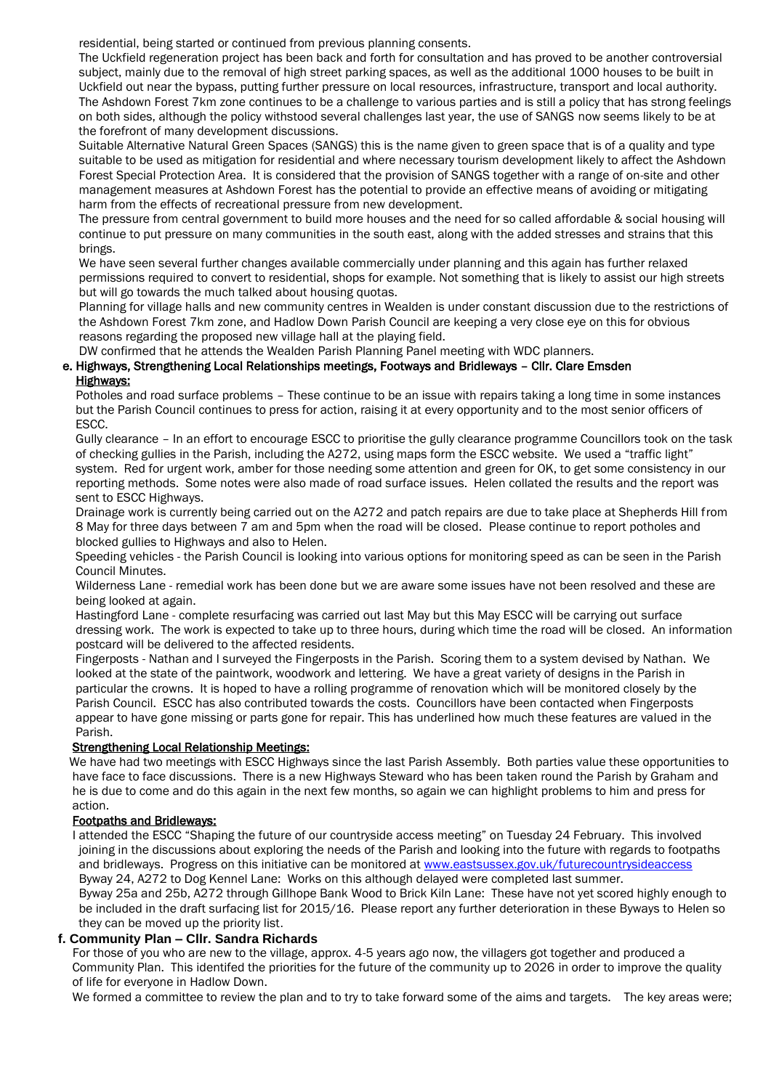residential, being started or continued from previous planning consents.

 The Uckfield regeneration project has been back and forth for consultation and has proved to be another controversial subject, mainly due to the removal of high street parking spaces, as well as the additional 1000 houses to be built in Uckfield out near the bypass, putting further pressure on local resources, infrastructure, transport and local authority. The Ashdown Forest 7km zone continues to be a challenge to various parties and is still a policy that has strong feelings on both sides, although the policy withstood several challenges last year, the use of SANGS now seems likely to be at the forefront of many development discussions.

 Suitable Alternative Natural Green Spaces (SANGS) this is the name given to green space that is of a quality and type suitable to be used as mitigation for residential and where necessary tourism development likely to affect the Ashdown Forest Special Protection Area. It is considered that the provision of SANGS together with a range of on-site and other management measures at Ashdown Forest has the potential to provide an effective means of avoiding or mitigating harm from the effects of recreational pressure from new development.

 The pressure from central government to build more houses and the need for so called affordable & social housing will continue to put pressure on many communities in the south east, along with the added stresses and strains that this brings.

 We have seen several further changes available commercially under planning and this again has further relaxed permissions required to convert to residential, shops for example. Not something that is likely to assist our high streets but will go towards the much talked about housing quotas.

 Planning for village halls and new community centres in Wealden is under constant discussion due to the restrictions of the Ashdown Forest 7km zone, and Hadlow Down Parish Council are keeping a very close eye on this for obvious reasons regarding the proposed new village hall at the playing field.

DW confirmed that he attends the Wealden Parish Planning Panel meeting with WDC planners.

## e. Highways, Strengthening Local Relationships meetings, Footways and Bridleways – Cllr. Clare Emsden Highways:

 Potholes and road surface problems – These continue to be an issue with repairs taking a long time in some instances but the Parish Council continues to press for action, raising it at every opportunity and to the most senior officers of ESCC.

 Gully clearance – In an effort to encourage ESCC to prioritise the gully clearance programme Councillors took on the task of checking gullies in the Parish, including the A272, using maps form the ESCC website. We used a "traffic light" system. Red for urgent work, amber for those needing some attention and green for OK, to get some consistency in our reporting methods. Some notes were also made of road surface issues. Helen collated the results and the report was sent to ESCC Highways.

 Drainage work is currently being carried out on the A272 and patch repairs are due to take place at Shepherds Hill from 8 May for three days between 7 am and 5pm when the road will be closed. Please continue to report potholes and blocked gullies to Highways and also to Helen.

 Speeding vehicles - the Parish Council is looking into various options for monitoring speed as can be seen in the Parish Council Minutes.

 Wilderness Lane - remedial work has been done but we are aware some issues have not been resolved and these are being looked at again.

 Hastingford Lane - complete resurfacing was carried out last May but this May ESCC will be carrying out surface dressing work. The work is expected to take up to three hours, during which time the road will be closed. An information postcard will be delivered to the affected residents.

 Fingerposts - Nathan and I surveyed the Fingerposts in the Parish. Scoring them to a system devised by Nathan. We looked at the state of the paintwork, woodwork and lettering. We have a great variety of designs in the Parish in particular the crowns. It is hoped to have a rolling programme of renovation which will be monitored closely by the Parish Council. ESCC has also contributed towards the costs. Councillors have been contacted when Fingerposts appear to have gone missing or parts gone for repair. This has underlined how much these features are valued in the Parish.

### Strengthening Local Relationship Meetings:

 We have had two meetings with ESCC Highways since the last Parish Assembly. Both parties value these opportunities to have face to face discussions. There is a new Highways Steward who has been taken round the Parish by Graham and he is due to come and do this again in the next few months, so again we can highlight problems to him and press for action.

### Footpaths and Bridleways:

 I attended the ESCC "Shaping the future of our countryside access meeting" on Tuesday 24 February. This involved joining in the discussions about exploring the needs of the Parish and looking into the future with regards to footpaths and bridleways. Progress on this initiative can be monitored at [www.eastsussex.gov.uk/futurecountrysideaccess](http://www.eastsussex.gov.uk/futurecountrysideaccess) Byway 24, A272 to Dog Kennel Lane: Works on this although delayed were completed last summer.

 Byway 25a and 25b, A272 through Gillhope Bank Wood to Brick Kiln Lane: These have not yet scored highly enough to be included in the draft surfacing list for 2015/16. Please report any further deterioration in these Byways to Helen so they can be moved up the priority list.

### **f. Community Plan – Cllr. Sandra Richards**

 For those of you who are new to the village, approx. 4-5 years ago now, the villagers got together and produced a Community Plan. This identifed the priorities for the future of the community up to 2026 in order to improve the quality of life for everyone in Hadlow Down.

We formed a committee to review the plan and to try to take forward some of the aims and targets. The key areas were;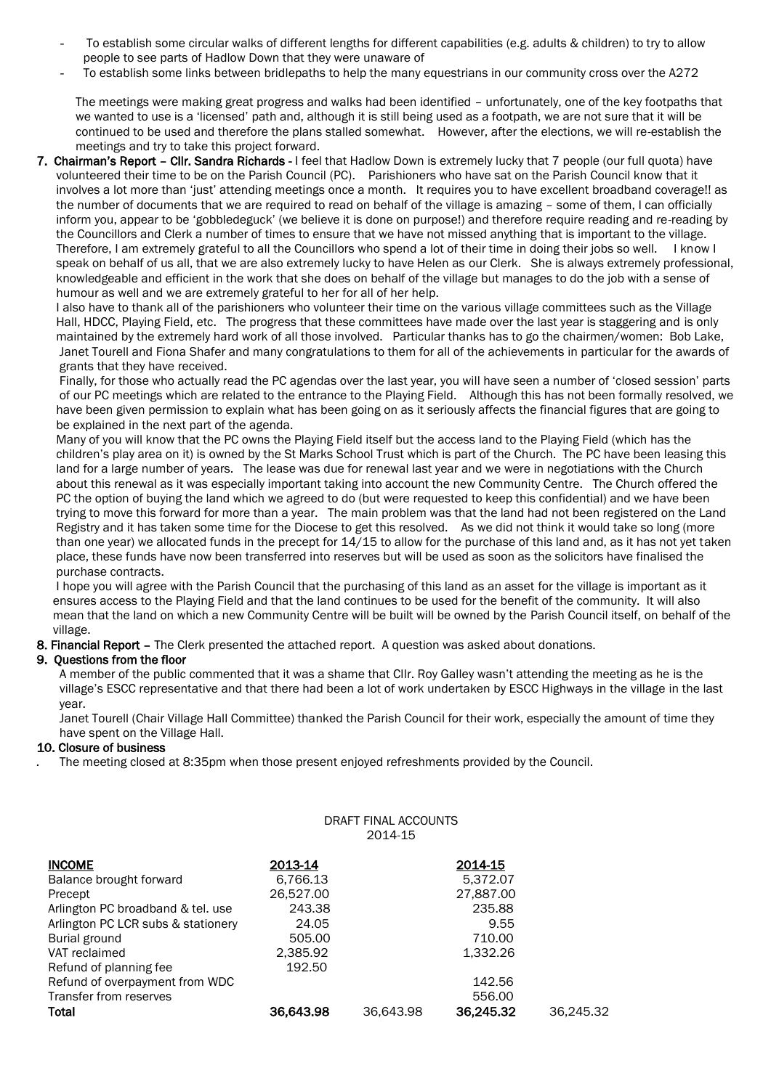- To establish some circular walks of different lengths for different capabilities (e.g. adults & children) to try to allow people to see parts of Hadlow Down that they were unaware of
- To establish some links between bridlepaths to help the many equestrians in our community cross over the A272

 The meetings were making great progress and walks had been identified – unfortunately, one of the key footpaths that we wanted to use is a 'licensed' path and, although it is still being used as a footpath, we are not sure that it will be continued to be used and therefore the plans stalled somewhat. However, after the elections, we will re-establish the meetings and try to take this project forward.

7. Chairman's Report - Cllr. Sandra Richards - I feel that Hadlow Down is extremely lucky that 7 people (our full quota) have volunteered their time to be on the Parish Council (PC). Parishioners who have sat on the Parish Council know that it involves a lot more than 'just' attending meetings once a month. It requires you to have excellent broadband coverage!! as the number of documents that we are required to read on behalf of the village is amazing – some of them, I can officially inform you, appear to be 'gobbledeguck' (we believe it is done on purpose!) and therefore require reading and re-reading by the Councillors and Clerk a number of times to ensure that we have not missed anything that is important to the village. Therefore, I am extremely grateful to all the Councillors who spend a lot of their time in doing their jobs so well. I know I speak on behalf of us all, that we are also extremely lucky to have Helen as our Clerk. She is always extremely professional, knowledgeable and efficient in the work that she does on behalf of the village but manages to do the job with a sense of humour as well and we are extremely grateful to her for all of her help.

 I also have to thank all of the parishioners who volunteer their time on the various village committees such as the Village Hall, HDCC, Playing Field, etc. The progress that these committees have made over the last year is staggering and is only maintained by the extremely hard work of all those involved. Particular thanks has to go the chairmen/women: Bob Lake, Janet Tourell and Fiona Shafer and many congratulations to them for all of the achievements in particular for the awards of grants that they have received.

 Finally, for those who actually read the PC agendas over the last year, you will have seen a number of 'closed session' parts of our PC meetings which are related to the entrance to the Playing Field. Although this has not been formally resolved, we have been given permission to explain what has been going on as it seriously affects the financial figures that are going to be explained in the next part of the agenda.

 Many of you will know that the PC owns the Playing Field itself but the access land to the Playing Field (which has the children's play area on it) is owned by the St Marks School Trust which is part of the Church. The PC have been leasing this land for a large number of years. The lease was due for renewal last year and we were in negotiations with the Church about this renewal as it was especially important taking into account the new Community Centre. The Church offered the PC the option of buying the land which we agreed to do (but were requested to keep this confidential) and we have been trying to move this forward for more than a year. The main problem was that the land had not been registered on the Land Registry and it has taken some time for the Diocese to get this resolved. As we did not think it would take so long (more than one year) we allocated funds in the precept for 14/15 to allow for the purchase of this land and, as it has not yet taken place, these funds have now been transferred into reserves but will be used as soon as the solicitors have finalised the purchase contracts.

 I hope you will agree with the Parish Council that the purchasing of this land as an asset for the village is important as it ensures access to the Playing Field and that the land continues to be used for the benefit of the community. It will also mean that the land on which a new Community Centre will be built will be owned by the Parish Council itself, on behalf of the village.

8. Financial Report – The Clerk presented the attached report. A question was asked about donations.

### 9. Questions from the floor

 A member of the public commented that it was a shame that Cllr. Roy Galley wasn't attending the meeting as he is the village's ESCC representative and that there had been a lot of work undertaken by ESCC Highways in the village in the last year.

 Janet Tourell (Chair Village Hall Committee) thanked the Parish Council for their work, especially the amount of time they have spent on the Village Hall.

DRAFT FINAL ACCOUNTS

#### 10. Closure of business

*.* The meeting closed at 8:35pm when those present enjoyed refreshments provided by the Council.

|                                    |           | 2014-15   |           |           |
|------------------------------------|-----------|-----------|-----------|-----------|
| <b>INCOME</b>                      | 2013-14   |           | 2014-15   |           |
| Balance brought forward            | 6,766.13  |           | 5,372.07  |           |
| Precept                            | 26,527.00 |           | 27,887.00 |           |
| Arlington PC broadband & tel. use  | 243.38    |           | 235.88    |           |
| Arlington PC LCR subs & stationery | 24.05     |           | 9.55      |           |
| Burial ground                      | 505.00    |           | 710.00    |           |
| VAT reclaimed                      | 2,385.92  |           | 1,332.26  |           |
| Refund of planning fee             | 192.50    |           |           |           |
| Refund of overpayment from WDC     |           |           | 142.56    |           |
| Transfer from reserves             |           |           | 556.00    |           |
| Total                              | 36,643.98 | 36.643.98 | 36,245.32 | 36.245.32 |